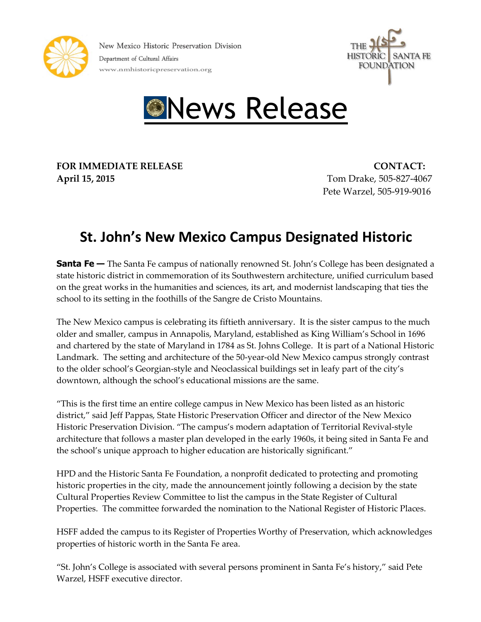





**FOR IMMEDIATE RELEASE CONTACT: April 15, 2015** Tom Drake, 505-827-4067

Pete Warzel, 505-919-9016

## **St. John's New Mexico Campus Designated Historic**

**Santa Fe** – The Santa Fe campus of nationally renowned St. John's College has been designated a state historic district in commemoration of its Southwestern architecture, unified curriculum based on the great works in the humanities and sciences, its art, and modernist landscaping that ties the school to its setting in the foothills of the Sangre de Cristo Mountains.

The New Mexico campus is celebrating its fiftieth anniversary. It is the sister campus to the much older and smaller, campus in Annapolis, Maryland, established as King William's School in 1696 and chartered by the state of Maryland in 1784 as St. Johns College. It is part of a National Historic Landmark. The setting and architecture of the 50-year-old New Mexico campus strongly contrast to the older school's Georgian-style and Neoclassical buildings set in leafy part of the city's downtown, although the school's educational missions are the same.

"This is the first time an entire college campus in New Mexico has been listed as an historic district," said Jeff Pappas, State Historic Preservation Officer and director of the New Mexico Historic Preservation Division. "The campus's modern adaptation of Territorial Revival-style architecture that follows a master plan developed in the early 1960s, it being sited in Santa Fe and the school's unique approach to higher education are historically significant."

HPD and the Historic Santa Fe Foundation, a nonprofit dedicated to protecting and promoting historic properties in the city, made the announcement jointly following a decision by the state Cultural Properties Review Committee to list the campus in the State Register of Cultural Properties. The committee forwarded the nomination to the National Register of Historic Places.

HSFF added the campus to its Register of Properties Worthy of Preservation, which acknowledges properties of historic worth in the Santa Fe area.

"St. John's College is associated with several persons prominent in Santa Fe's history," said Pete Warzel, HSFF executive director.